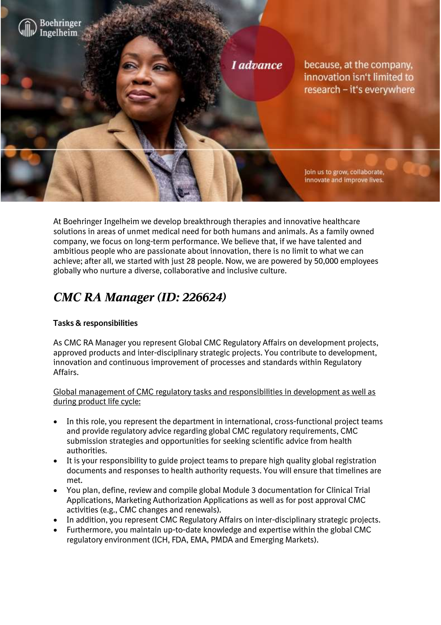

At Boehringer Ingelheim we develop breakthrough therapies and innovative healthcare solutions in areas of unmet medical need for both humans and animals. As a family owned company, we focus on long-term performance. We believe that, if we have talented and ambitious people who are passionate about innovation, there is no limit to what we can achieve; after all, we started with just 28 people. Now, we are powered by 50,000 employees globally who nurture a diverse, collaborative and inclusive culture.

# *CMC RA Manager (ID: 226624)*

## **Tasks & responsibilities**

As CMC RA Manager you represent Global CMC Regulatory Affairs on development projects, approved products and inter-disciplinary strategic projects. You contribute to development, innovation and continuous improvement of processes and standards within Regulatory Affairs.

Global management of CMC regulatory tasks and responsibilities in development as well as during product life cycle:

- In this role, you represent the department in international, cross-functional project teams and provide regulatory advice regarding global CMC regulatory requirements, CMC submission strategies and opportunities for seeking scientific advice from health authorities.
- It is your responsibility to guide project teams to prepare high quality global registration documents and responses to health authority requests. You will ensure that timelines are met.
- You plan, define, review and compile global Module 3 documentation for Clinical Trial Applications, Marketing Authorization Applications as well as for post approval CMC activities (e.g., CMC changes and renewals).
- In addition, you represent CMC Regulatory Affairs on inter-disciplinary strategic projects.
- Furthermore, you maintain up-to-date knowledge and expertise within the global CMC regulatory environment (ICH, FDA, EMA, PMDA and Emerging Markets).